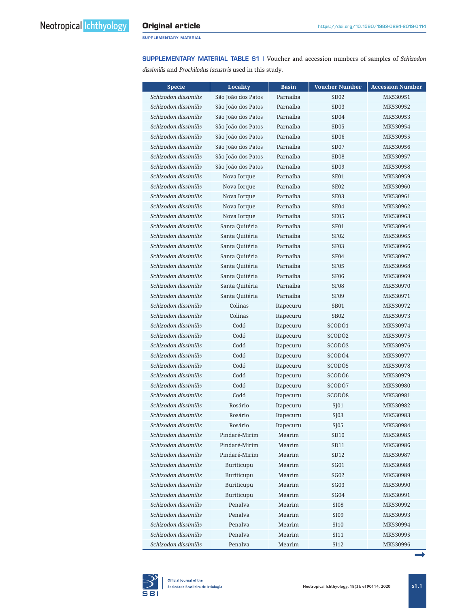SUPPLEMENTARY MATERIAL

SUPPLEMENTARY MATERIAL TABLE S1 | Voucher and accession numbers of samples of *Schizodon dissimilis* and *Prochilodus lacustris* used in this study.

| <b>Specie</b>        | <b>Locality</b>    | <b>Basin</b> | <b>Voucher Number</b> | <b>Accession Number</b> |
|----------------------|--------------------|--------------|-----------------------|-------------------------|
| Schizodon dissimilis | São João dos Patos | Parnaíba     | SD02                  | MK530951                |
| Schizodon dissimilis | São João dos Patos | Parnaíba     | SD03                  | MK530952                |
| Schizodon dissimilis | São João dos Patos | Parnaíba     | SD04                  | MK530953                |
| Schizodon dissimilis | São João dos Patos | Parnaíba     | <b>SD05</b>           | MK530954                |
| Schizodon dissimilis | São João dos Patos | Parnaíba     | SD <sub>06</sub>      | MK530955                |
| Schizodon dissimilis | São João dos Patos | Parnaíba     | SD07                  | MK530956                |
| Schizodon dissimilis | São João dos Patos | Parnaíba     | <b>SD08</b>           | MK530957                |
| Schizodon dissimilis | São João dos Patos | Parnaíba     | SD09                  | MK530958                |
| Schizodon dissimilis | Nova Iorque        | Parnaíba     | <b>SE01</b>           | MK530959                |
| Schizodon dissimilis | Nova Iorque        | Parnaíba     | <b>SE02</b>           | MK530960                |
| Schizodon dissimilis | Nova Iorque        | Parnaíba     | <b>SE03</b>           | MK530961                |
| Schizodon dissimilis | Nova Iorque        | Parnaíba     | <b>SE04</b>           | MK530962                |
| Schizodon dissimilis | Nova Iorque        | Parnaíba     | <b>SE05</b>           | MK530963                |
| Schizodon dissimilis | Santa Quitéria     | Parnaíba     | <b>SF01</b>           | MK530964                |
| Schizodon dissimilis | Santa Quitéria     | Parnaíba     | <b>SF02</b>           | MK530965                |
| Schizodon dissimilis | Santa Quitéria     | Parnaíba     | <b>SF03</b>           | MK530966                |
| Schizodon dissimilis | Santa Quitéria     | Parnaíba     | SF <sub>04</sub>      | MK530967                |
| Schizodon dissimilis | Santa Quitéria     | Parnaíba     | SF <sub>05</sub>      | MK530968                |
| Schizodon dissimilis | Santa Quitéria     | Parnaíba     | <b>SF06</b>           | MK530969                |
| Schizodon dissimilis | Santa Quitéria     | Parnaíba     | SF <sub>08</sub>      | MK530970                |
| Schizodon dissimilis | Santa Quitéria     | Parnaíba     | SF <sub>09</sub>      | MK530971                |
| Schizodon dissimilis | Colinas            | Itapecuru    | <b>SB01</b>           | MK530972                |
| Schizodon dissimilis | Colinas            | Itapecuru    | <b>SB02</b>           | MK530973                |
| Schizodon dissimilis | Codó               | Itapecuru    | SCODÓ1                | MK530974                |
| Schizodon dissimilis | Codó               | Itapecuru    | SCODÓ <sub>2</sub>    | MK530975                |
| Schizodon dissimilis | Codó               | Itapecuru    | SCODÓ3                | MK530976                |
| Schizodon dissimilis | Codó               | Itapecuru    | SCODÓ4                | MK530977                |
| Schizodon dissimilis | Codó               | Itapecuru    | SCODÓ5                | MK530978                |
| Schizodon dissimilis | Codó               | Itapecuru    | SCODÓ <sub>6</sub>    | MK530979                |
| Schizodon dissimilis | Codó               | Itapecuru    | SCODÓ7                | MK530980                |
| Schizodon dissimilis | Codó               | Itapecuru    | <b>SCODÓ8</b>         | MK530981                |
| Schizodon dissimilis | Rosário            | Itapecuru    | $S$ [01               | MK530982                |
| Schizodon dissimilis | Rosário            | Itapecuru    | $S$ [03               | MK530983                |
| Schizodon dissimilis | Rosário            | Itapecuru    | $S$ [05               | MK530984                |
| Schizodon dissimilis | Pindaré-Mirim      | Mearim       | SD10                  | MK530985                |
| Schizodon dissimilis | Pindaré-Mirim      | Mearim       | SD11                  | MK530986                |
| Schizodon dissimilis | Pindaré-Mirim      | Mearim       | SD12                  | MK530987                |
| Schizodon dissimilis | Buriticupu         | Mearim       | SG01                  | MK530988                |
| Schizodon dissimilis | Buriticupu         | Mearim       | <b>SG02</b>           | MK530989                |
| Schizodon dissimilis | Buriticupu         | Mearim       | SG03                  | MK530990                |
| Schizodon dissimilis | Buriticupu         | Mearim       | SG04                  | MK530991                |
| Schizodon dissimilis | Penalva            | Mearim       | <b>SI08</b>           | MK530992                |
| Schizodon dissimilis | Penalva            | Mearim       | <b>SI09</b>           | MK530993                |
| Schizodon dissimilis | Penalva            | Mearim       | SI10                  | MK530994                |
| Schizodon dissimilis | Penalva            | Mearim       | SI11                  | MK530995                |
| Schizodon dissimilis | Penalva            | Mearim       | <b>SI12</b>           | MK530996                |



ª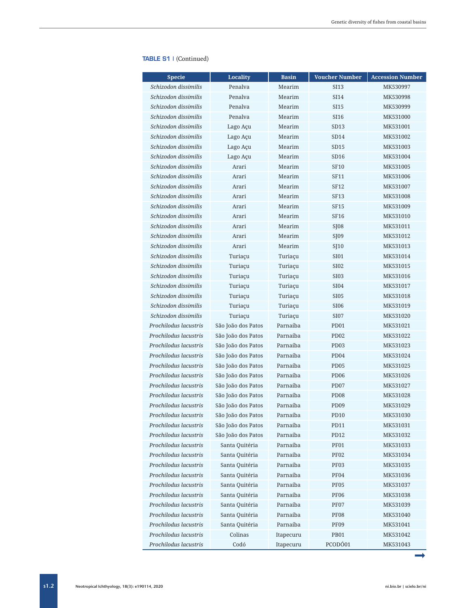| <b>Specie</b>         | <b>Locality</b>    | <b>Basin</b> | <b>Voucher Number</b> | <b>Accession Number</b> |
|-----------------------|--------------------|--------------|-----------------------|-------------------------|
| Schizodon dissimilis  | Penalva            | Mearim       | <b>SI13</b>           | MK530997                |
| Schizodon dissimilis  | Penalva            | Mearim       | SI14                  | MK530998                |
| Schizodon dissimilis  | Penalva            | Mearim       | <b>SI15</b>           | MK530999                |
| Schizodon dissimilis  | Penalva            | Mearim       | SI16                  | MK531000                |
| Schizodon dissimilis  | Lago Açu           | Mearim       | SD13                  | MK531001                |
| Schizodon dissimilis  | Lago Açu           | Mearim       | SD <sub>14</sub>      | MK531002                |
| Schizodon dissimilis  | Lago Açu           | Mearim       | SD <sub>15</sub>      | MK531003                |
| Schizodon dissimilis  | Lago Açu           | Mearim       | SD16                  | MK531004                |
| Schizodon dissimilis  | Arari              | Mearim       | <b>SF10</b>           | MK531005                |
| Schizodon dissimilis  | Arari              | Mearim       | SF11                  | MK531006                |
| Schizodon dissimilis  | Arari              | Mearim       | <b>SF12</b>           | MK531007                |
| Schizodon dissimilis  | Arari              | Mearim       | <b>SF13</b>           | MK531008                |
| Schizodon dissimilis  | Arari              | Mearim       | <b>SF15</b>           | MK531009                |
| Schizodon dissimilis  | Arari              | Mearim       | <b>SF16</b>           | MK531010                |
| Schizodon dissimilis  | Arari              | Mearim       | S <sub>108</sub>      | MK531011                |
| Schizodon dissimilis  | Arari              | Mearim       | SJ09                  | MK531012                |
| Schizodon dissimilis  | Arari              | Mearim       | SJ10                  | MK531013                |
| Schizodon dissimilis  | Turiaçu            | Turiaçu      | SI01                  | MK531014                |
| Schizodon dissimilis  | Turiaçu            | Turiaçu      | SI02                  | MK531015                |
| Schizodon dissimilis  | Turiaçu            | Turiaçu      | <b>SI03</b>           | MK531016                |
| Schizodon dissimilis  | Turiaçu            | Turiaçu      | SI04                  | MK531017                |
| Schizodon dissimilis  | Turiaçu            | Turiaçu      | <b>SI05</b>           | MK531018                |
| Schizodon dissimilis  | Turiaçu            | Turiaçu      | <b>SI06</b>           | MK531019                |
| Schizodon dissimilis  | Turiaçu            | Turiaçu      | SI07                  | MK531020                |
| Prochilodus lacustris | São João dos Patos | Parnaíba     | <b>PD01</b>           | MK531021                |
| Prochilodus lacustris | São João dos Patos | Parnaíba     | <b>PD02</b>           | MK531022                |
| Prochilodus lacustris | São João dos Patos | Parnaíba     | PD <sub>03</sub>      | MK531023                |
| Prochilodus lacustris | São João dos Patos | Parnaíba     | <b>PD04</b>           | MK531024                |
| Prochilodus lacustris | São João dos Patos | Parnaíba     | <b>PD05</b>           | MK531025                |
| Prochilodus lacustris | São João dos Patos | Parnaíba     | <b>PD06</b>           | MK531026                |
| Prochilodus lacustris | São João dos Patos | Parnaíba     | PD <sub>07</sub>      | MK531027                |
| Prochilodus lacustris | São João dos Patos | Parnaíba     | PD <sub>08</sub>      | MK531028                |
| Prochilodus lacustris | São João dos Patos | Parnaíba     | <b>PD09</b>           | MK531029                |
| Prochilodus lacustris | São João dos Patos | Parnaíba     | <b>PD10</b>           | MK531030                |
| Prochilodus lacustris | São João dos Patos | Parnaíba     | PD11                  | MK531031                |
| Prochilodus lacustris | São João dos Patos | Parnaíba     | <b>PD12</b>           | MK531032                |
| Prochilodus lacustris | Santa Quitéria     | Parnaíba     | <b>PF01</b>           | MK531033                |
| Prochilodus lacustris | Santa Quitéria     | Parnaíba     | <b>PF02</b>           | MK531034                |
| Prochilodus lacustris | Santa Quitéria     | Parnaíba     | PF03                  | MK531035                |
| Prochilodus lacustris | Santa Quitéria     | Parnaíba     | PF04                  | MK531036                |
| Prochilodus lacustris | Santa Quitéria     | Parnaíba     | <b>PF05</b>           | MK531037                |
| Prochilodus lacustris | Santa Quitéria     | Parnaíba     | <b>PF06</b>           | MK531038                |
| Prochilodus lacustris | Santa Quitéria     | Parnaíba     | PF07                  | MK531039                |
| Prochilodus lacustris | Santa Quitéria     | Parnaíba     | <b>PF08</b>           | MK531040                |
| Prochilodus lacustris | Santa Quitéria     | Parnaíba     | <b>PF09</b>           | MK531041                |
| Prochilodus lacustris | Colinas            | Itapecuru    | <b>PB01</b>           | MK531042                |
| Prochilodus lacustris | Codó               | Itapecuru    | PCODÓ01               | MK531043                |

## TABLE S1 | (Continued)

ª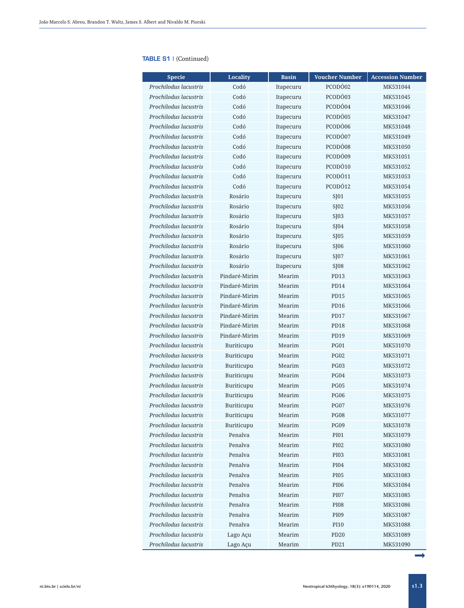### TABLE S1 | (Continued)

| <b>Specie</b>         | <b>Locality</b> | <b>Basin</b> | <b>Voucher Number</b> | <b>Accession Number</b> |
|-----------------------|-----------------|--------------|-----------------------|-------------------------|
| Prochilodus lacustris | Codó            | Itapecuru    | PCODÓ02               | MK531044                |
| Prochilodus lacustris | Codó            | Itapecuru    | PCODÓ03               | MK531045                |
| Prochilodus lacustris | Codó            | Itapecuru    | PCODÓ04               | MK531046                |
| Prochilodus lacustris | Codó            | Itapecuru    | PCODÓ05               | MK531047                |
| Prochilodus lacustris | Codó            | Itapecuru    | PCODÓ06               | MK531048                |
| Prochilodus lacustris | Codó            | Itapecuru    | PCODÓ07               | MK531049                |
| Prochilodus lacustris | Codó            | Itapecuru    | PCODÓ08               | MK531050                |
| Prochilodus lacustris | Codó            | Itapecuru    | PCODÓ09               | MK531051                |
| Prochilodus lacustris | Codó            | Itapecuru    | PCODÓ10               | MK531052                |
| Prochilodus lacustris | Codó            | Itapecuru    | PCODÓ11               | MK531053                |
| Prochilodus lacustris | Codó            | Itapecuru    | PCODÓ12               | MK531054                |
| Prochilodus lacustris | Rosário         | Itapecuru    | $S$ [01               | MK531055                |
| Prochilodus lacustris | Rosário         | Itapecuru    | $S$ [02               | MK531056                |
| Prochilodus lacustris | Rosário         | Itapecuru    | $S$ [03               | MK531057                |
| Prochilodus lacustris | Rosário         | Itapecuru    | $S$ [04               | MK531058                |
| Prochilodus lacustris | Rosário         | Itapecuru    | $S$ [05               | MK531059                |
| Prochilodus lacustris | Rosário         | Itapecuru    | $S$ [06               | MK531060                |
| Prochilodus lacustris | Rosário         | Itapecuru    | $S$ [07               | MK531061                |
| Prochilodus lacustris | Rosário         | Itapecuru    | SJ08                  | MK531062                |
| Prochilodus lacustris | Pindaré-Mirim   | Mearim       | <b>PD13</b>           | MK531063                |
| Prochilodus lacustris | Pindaré-Mirim   | Mearim       | <b>PD14</b>           | MK531064                |
| Prochilodus lacustris | Pindaré-Mirim   | Mearim       | <b>PD15</b>           | MK531065                |
| Prochilodus lacustris | Pindaré-Mirim   | Mearim       | <b>PD16</b>           | MK531066                |
| Prochilodus lacustris | Pindaré-Mirim   | Mearim       | <b>PD17</b>           | MK531067                |
| Prochilodus lacustris | Pindaré-Mirim   | Mearim       | <b>PD18</b>           | MK531068                |
| Prochilodus lacustris | Pindaré-Mirim   | Mearim       | <b>PD19</b>           | MK531069                |
| Prochilodus lacustris | Buriticupu      | Mearim       | <b>PG01</b>           | MK531070                |
| Prochilodus lacustris | Buriticupu      | Mearim       | <b>PG02</b>           | MK531071                |
| Prochilodus lacustris | Buriticupu      | Mearim       | <b>PG03</b>           | MK531072                |
| Prochilodus lacustris | Buriticupu      | Mearim       | <b>PG04</b>           | MK531073                |
| Prochilodus lacustris | Buriticupu      | Mearim       | <b>PG05</b>           | MK531074                |
| Prochilodus lacustris | Buriticupu      | Mearim       | <b>PG06</b>           | MK531075                |
| Prochilodus lacustris | Buriticupu      | Mearim       | <b>PG07</b>           | MK531076                |
| Prochilodus lacustris | Buriticupu      | Mearim       | <b>PG08</b>           | MK531077                |
| Prochilodus lacustris | Buriticupu      | Mearim       | PG09                  | MK531078                |
| Prochilodus lacustris | Penalva         | Mearim       | PI01                  | MK531079                |
| Prochilodus lacustris | Penalva         | Mearim       | PI02                  | MK531080                |
| Prochilodus lacustris | Penalva         | Mearim       | PI03                  | MK531081                |
| Prochilodus lacustris | Penalva         | Mearim       | PI04                  | MK531082                |
| Prochilodus lacustris | Penalva         | Mearim       | <b>PI05</b>           | MK531083                |
| Prochilodus lacustris | Penalva         | Mearim       | <b>PI06</b>           | MK531084                |
| Prochilodus lacustris | Penalva         | Mearim       | PI07                  | MK531085                |
| Prochilodus lacustris | Penalva         | Mearim       | <b>PI08</b>           | MK531086                |
| Prochilodus lacustris | Penalva         | Mearim       | PI09                  | MK531087                |
| Prochilodus lacustris | Penalva         | Mearim       | PI10                  | MK531088                |
| Prochilodus lacustris | Lago Açu        | Mearim       | <b>PD20</b>           | MK531089                |
| Prochilodus lacustris | Lago Açu        | Mearim       | PD21                  | MK531090                |